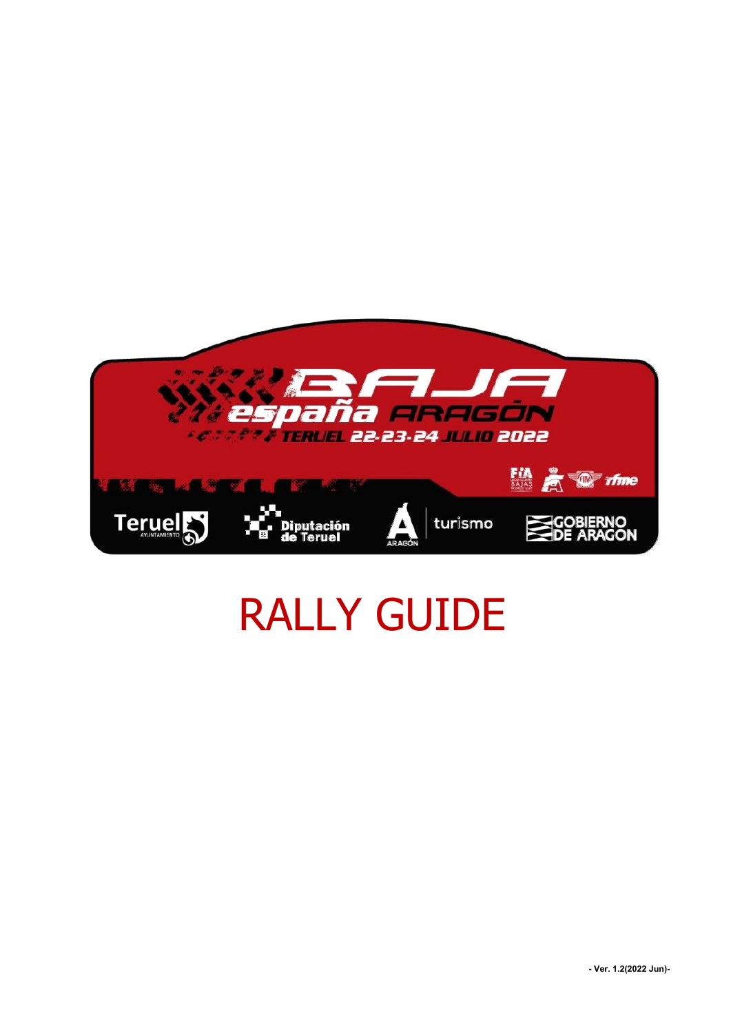

# RALLY GUIDE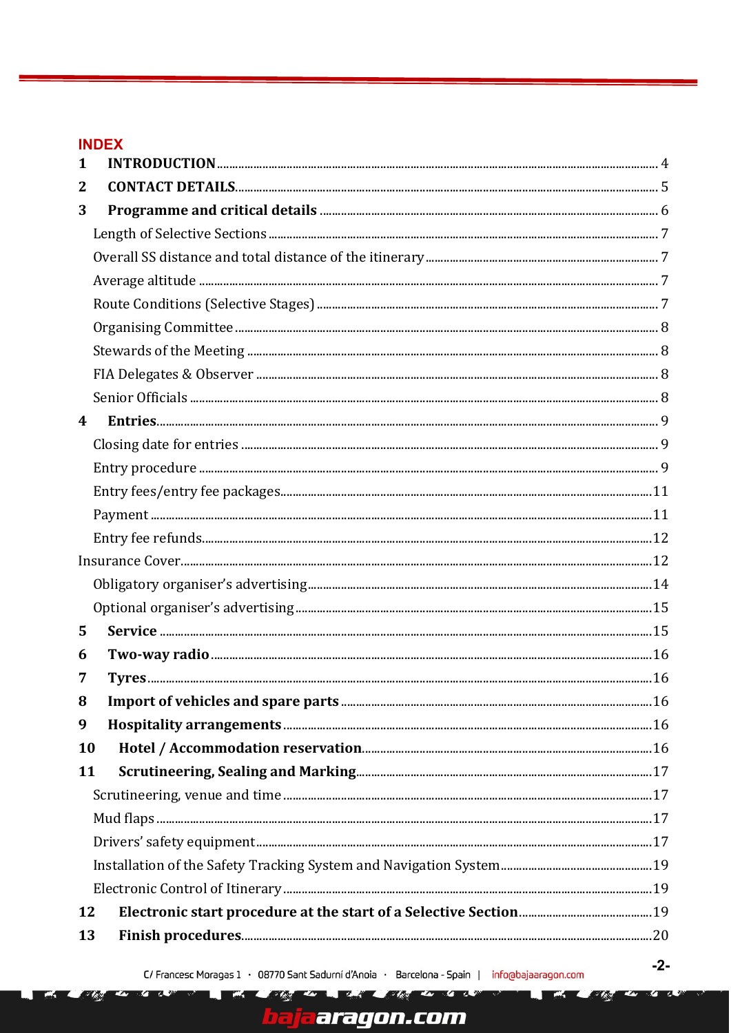## **INDEX**

- Zer

| 1  |  |
|----|--|
| 2  |  |
| 3  |  |
|    |  |
|    |  |
|    |  |
|    |  |
|    |  |
|    |  |
|    |  |
|    |  |
| 4  |  |
|    |  |
|    |  |
|    |  |
|    |  |
|    |  |
|    |  |
|    |  |
|    |  |
| 5  |  |
| 6  |  |
| 7  |  |
| 8  |  |
| 9  |  |
| 10 |  |
| 11 |  |
|    |  |
|    |  |
|    |  |
|    |  |
|    |  |
| 12 |  |
| 13 |  |
|    |  |

ī

The to be the light of the to the the

<mark>ja</mark>aragon.com

**DOM:** 

医头的

**K/S** 

779

Z.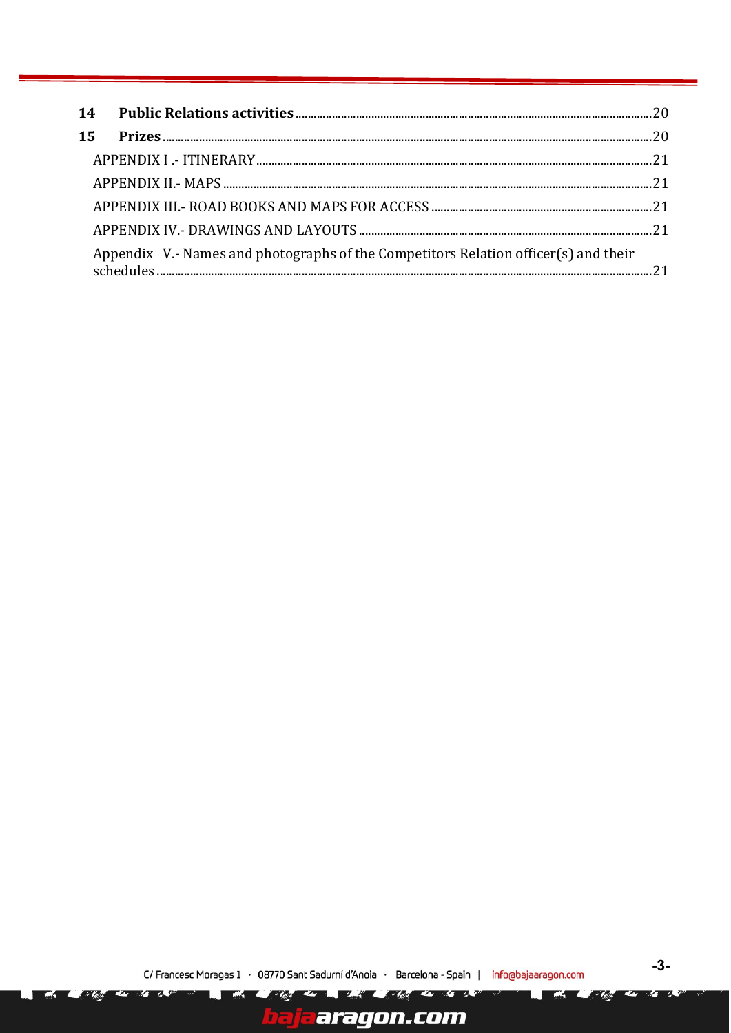| 15 |                                                                                     |  |
|----|-------------------------------------------------------------------------------------|--|
|    |                                                                                     |  |
|    |                                                                                     |  |
|    |                                                                                     |  |
|    |                                                                                     |  |
|    | Appendix V.- Names and photographs of the Competitors Relation officer(s) and their |  |
|    |                                                                                     |  |

۳M

ĥ.

- Isla

and the most of the top the communication

j<mark>a</mark>aragon.com

**Barbara** 

 $-3-$ 

医头的

**K/S** 

779

K

ه ۳۰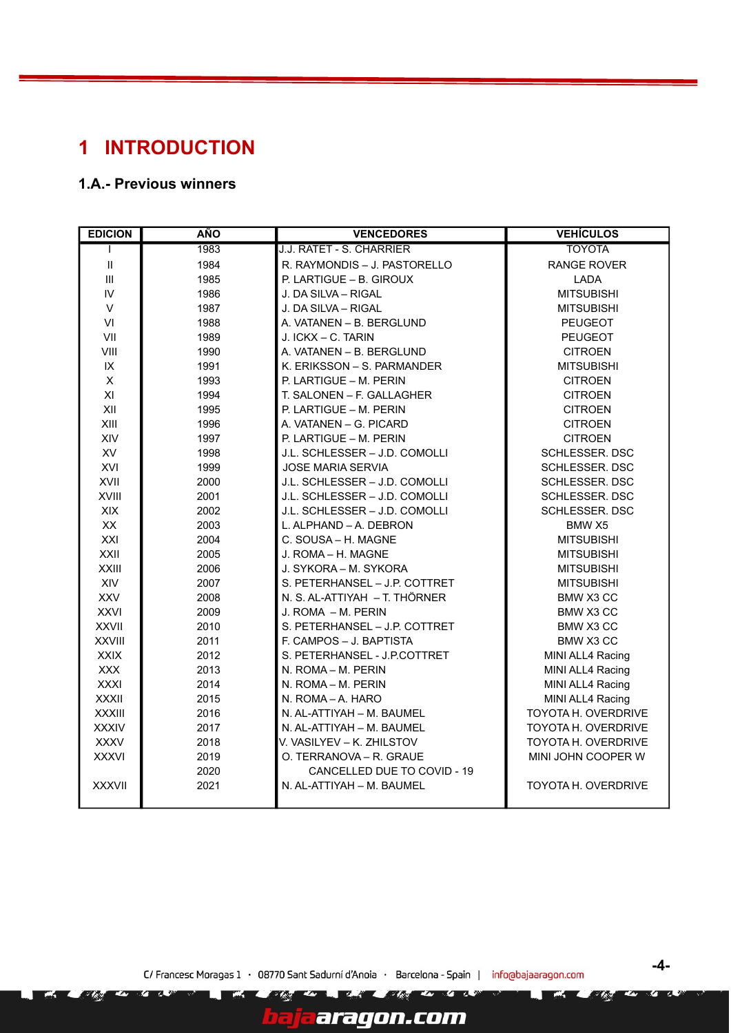# <span id="page-3-0"></span>**1 INTRODUCTION**

## **1.A.- Previous winners**

Z.

| <b>EDICION</b>             | <b>AÑO</b> | <b>VENCEDORES</b>             | <b>VEHÍCULOS</b>           |
|----------------------------|------------|-------------------------------|----------------------------|
| L                          | 1983       | J.J. RATET - S. CHARRIER      | <b>TOYOTA</b>              |
| $\ensuremath{\mathsf{II}}$ | 1984       | R. RAYMONDIS - J. PASTORELLO  | <b>RANGE ROVER</b>         |
| III                        | 1985       | P. LARTIGUE - B. GIROUX       | <b>LADA</b>                |
| IV                         | 1986       | J. DA SILVA - RIGAL           | <b>MITSUBISHI</b>          |
| $\vee$                     | 1987       | J. DA SILVA - RIGAL           | <b>MITSUBISHI</b>          |
| VI                         | 1988       | A. VATANEN - B. BERGLUND      | <b>PEUGEOT</b>             |
| VII                        | 1989       | J. ICKX - C. TARIN            | PEUGEOT                    |
| VIII                       | 1990       | A. VATANEN - B. BERGLUND      | <b>CITROEN</b>             |
| IX                         | 1991       | K. ERIKSSON - S. PARMANDER    | <b>MITSUBISHI</b>          |
| $\mathsf X$                | 1993       | P. LARTIGUE - M. PERIN        | <b>CITROEN</b>             |
| XI                         | 1994       | T. SALONEN - F. GALLAGHER     | <b>CITROEN</b>             |
| XII                        | 1995       | P. LARTIGUE - M. PERIN        | <b>CITROEN</b>             |
| XIII                       | 1996       | A. VATANEN - G. PICARD        | <b>CITROEN</b>             |
| XIV                        | 1997       | P. LARTIGUE - M. PERIN        | <b>CITROEN</b>             |
| XV                         | 1998       | J.L. SCHLESSER - J.D. COMOLLI | SCHLESSER. DSC             |
| XVI                        | 1999       | <b>JOSE MARIA SERVIA</b>      | SCHLESSER. DSC             |
| XVII                       | 2000       | J.L. SCHLESSER - J.D. COMOLLI | <b>SCHLESSER, DSC</b>      |
| XVIII                      | 2001       | J.L. SCHLESSER - J.D. COMOLLI | SCHLESSER. DSC             |
| XIX                        | 2002       | J.L. SCHLESSER - J.D. COMOLLI | SCHLESSER. DSC             |
| XX                         | 2003       | L. ALPHAND - A. DEBRON        | BMW X5                     |
| XXI                        | 2004       | C. SOUSA - H. MAGNE           | <b>MITSUBISHI</b>          |
| XXII                       | 2005       | J. ROMA - H. MAGNE            | <b>MITSUBISHI</b>          |
| XXIII                      | 2006       | J. SYKORA - M. SYKORA         | <b>MITSUBISHI</b>          |
| XIV                        | 2007       | S. PETERHANSEL - J.P. COTTRET | <b>MITSUBISHI</b>          |
| <b>XXV</b>                 | 2008       | N. S. AL-ATTIYAH - T. THÖRNER | BMW X3 CC                  |
| <b>XXVI</b>                | 2009       | J. ROMA - M. PERIN            | BMW X3 CC                  |
| <b>XXVII</b>               | 2010       | S. PETERHANSEL - J.P. COTTRET | BMW X3 CC                  |
| <b>XXVIII</b>              | 2011       | F. CAMPOS - J. BAPTISTA       | BMW X3 CC                  |
| <b>XXIX</b>                | 2012       | S. PETERHANSEL - J.P.COTTRET  | MINI ALL4 Racing           |
| <b>XXX</b>                 | 2013       | N. ROMA - M. PERIN            | MINI ALL4 Racing           |
| <b>XXXI</b>                | 2014       | N. ROMA - M. PERIN            | MINI ALL4 Racing           |
| <b>XXXII</b>               | 2015       | N. ROMA-A. HARO               | MINI ALL4 Racing           |
| <b>XXXIII</b>              | 2016       | N. AL-ATTIYAH - M. BAUMEL     | TOYOTA H. OVERDRIVE        |
| <b>XXXIV</b>               | 2017       | N. AL-ATTIYAH - M. BAUMEL     | TOYOTA H. OVERDRIVE        |
| <b>XXXV</b>                | 2018       | V. VASILYEV - K. ZHILSTOV     | TOYOTA H. OVERDRIVE        |
| <b>XXXVI</b>               | 2019       | O. TERRANOVA - R. GRAUE       | MINI JOHN COOPER W         |
|                            | 2020       | CANCELLED DUE TO COVID - 19   |                            |
| <b>XXXVII</b>              | 2021       | N. AL-ATTIYAH - M. BAUMEL     | <b>TOYOTA H. OVERDRIVE</b> |

C/ Francesc Moragas 1 · 08770 Sant Sadurní d'Anoia · Barcelona - Spain | info@bajaaragon.com

ī

They are my limit to the day of the

aragon.com

**-4-**

Ø ГŻ.

Z.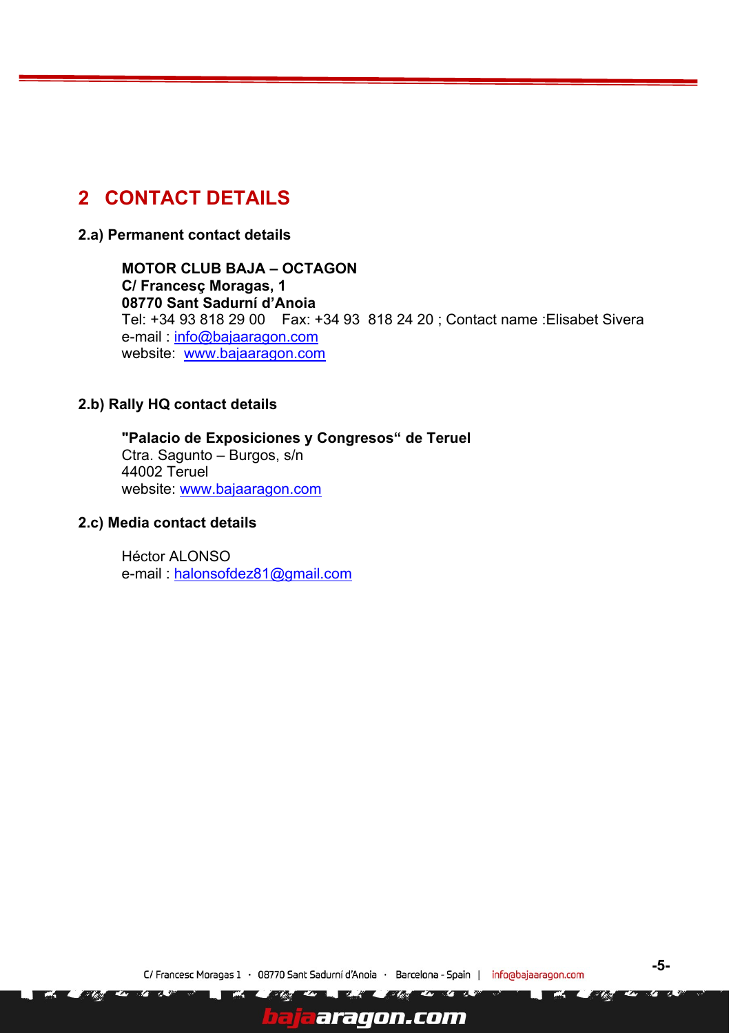# <span id="page-4-0"></span>**2 CONTACT DETAILS**

**2.a) Permanent contact details**

**MOTOR CLUB BAJA – OCTAGON C/ Francesç Moragas, 1 08770 Sant Sadurní d'Anoia**  Tel: +34 93 818 29 00 Fax: +34 93 818 24 20 ; Contact name :Elisabet Sivera e-mail : [info@bajaaragon.com](mailto:info@bajaaragon.com) website: [www.bajaaragon.com](http://www.bajaaragon.com/)

#### **2.b) Rally HQ contact details**

**"Palacio de Exposiciones y Congresos" de Teruel** Ctra. Sagunto – Burgos, s/n 44002 Teruel website: [www.bajaaragon.com](http://www.bajaaragon.com/)

#### **2.c) Media contact details**

Héctor ALONSO e-mail : [halonsofdez81@gmail.com](mailto:halonsofdez81@gmail.com)

7

**ART Ave** 

aragon.com

**TA** 

- 13

**TA**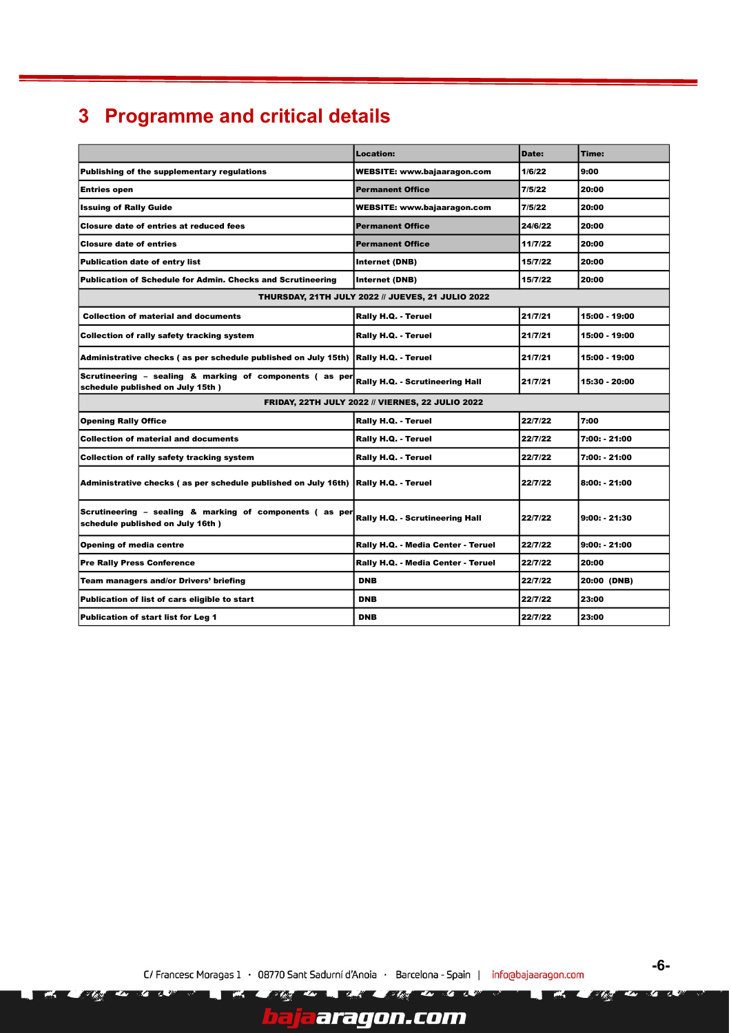# <span id="page-5-0"></span>**3 Programme and critical details**

|                                                                                             | Location:                                         | Date:   | Time:          |
|---------------------------------------------------------------------------------------------|---------------------------------------------------|---------|----------------|
| Publishing of the supplementary regulations                                                 | <b>WEBSITE: www.bajaaragon.com</b>                | 1/6/22  | 9:00           |
| <b>Entries open</b>                                                                         | <b>Permanent Office</b>                           | 7/5/22  | 20:00          |
| <b>Issuing of Rally Guide</b>                                                               | <b>WEBSITE: www.bajaaragon.com</b>                | 7/5/22  | 20:00          |
| Closure date of entries at reduced fees                                                     | <b>Permanent Office</b>                           | 24/6/22 | 20:00          |
| <b>Closure date of entries</b>                                                              | <b>Permanent Office</b>                           | 11/7/22 | 20:00          |
| <b>Publication date of entry list</b>                                                       | Internet (DNB)                                    | 15/7/22 | 20:00          |
| <b>Publication of Schedule for Admin. Checks and Scrutineering</b>                          | Internet (DNB)                                    | 15/7/22 | 20:00          |
|                                                                                             | THURSDAY, 21TH JULY 2022 // JUEVES, 21 JULIO 2022 |         |                |
| <b>Collection of material and documents</b>                                                 | Rally H.Q. - Teruel                               | 21/7/21 | 15:00 - 19:00  |
| Collection of rally safety tracking system                                                  | Rally H.Q. - Teruel                               | 21/7/21 | 15:00 - 19:00  |
| Administrative checks (as per schedule published on July 15th) Rally H.Q. - Teruel          |                                                   | 21/7/21 | 15:00 - 19:00  |
| Scrutineering - sealing & marking of components (as per<br>schedule published on July 15th) | Rally H.Q. - Scrutineering Hall                   | 21/7/21 | 15:30 - 20:00  |
| FRIDAY, 22TH JULY 2022 // VIERNES, 22 JULIO 2022                                            |                                                   |         |                |
| <b>Opening Rally Office</b>                                                                 | Rally H.Q. - Teruel                               | 22/7/22 | 7:00           |
| <b>Collection of material and documents</b>                                                 | Rally H.Q. - Teruel                               | 22/7/22 | 7:00: - 21:00  |
| Collection of rally safety tracking system                                                  | Rally H.Q. - Teruel                               | 22/7/22 | 7:00: - 21:00  |
| Administrative checks (as per schedule published on July 16th)                              | Rally H.Q. - Teruel                               | 22/7/22 | 8:00: - 21:00  |
| Scrutineering - sealing & marking of components (as per<br>schedule published on July 16th) | Rally H.Q. - Scrutineering Hall                   | 22/7/22 | 9:00: 21:30    |
| Opening of media centre                                                                     | Rally H.Q. - Media Center - Teruel                | 22/7/22 | $9:00: -21:00$ |
| <b>Pre Rally Press Conference</b>                                                           | Rally H.Q. - Media Center - Teruel                | 22/7/22 | 20:00          |
| Team managers and/or Drivers' briefing                                                      | <b>DNB</b>                                        | 22/7/22 | 20:00 (DNB)    |
| Publication of list of cars eligible to start                                               | <b>DNB</b>                                        | 22/7/22 | 23:00          |
| Publication of start list for Leg 1                                                         | <b>DNB</b>                                        | 22/7/22 | 23:00          |

 $\mathbf{z}$ 

aaragon.com

P₹

**COM** 

**TA** 

 $\sim$   $\sim$   $\sim$ 

 $\sim$   $\sqrt{2}$ 

ī

K.

**TA** 

**-6-**

Ø ГŻ.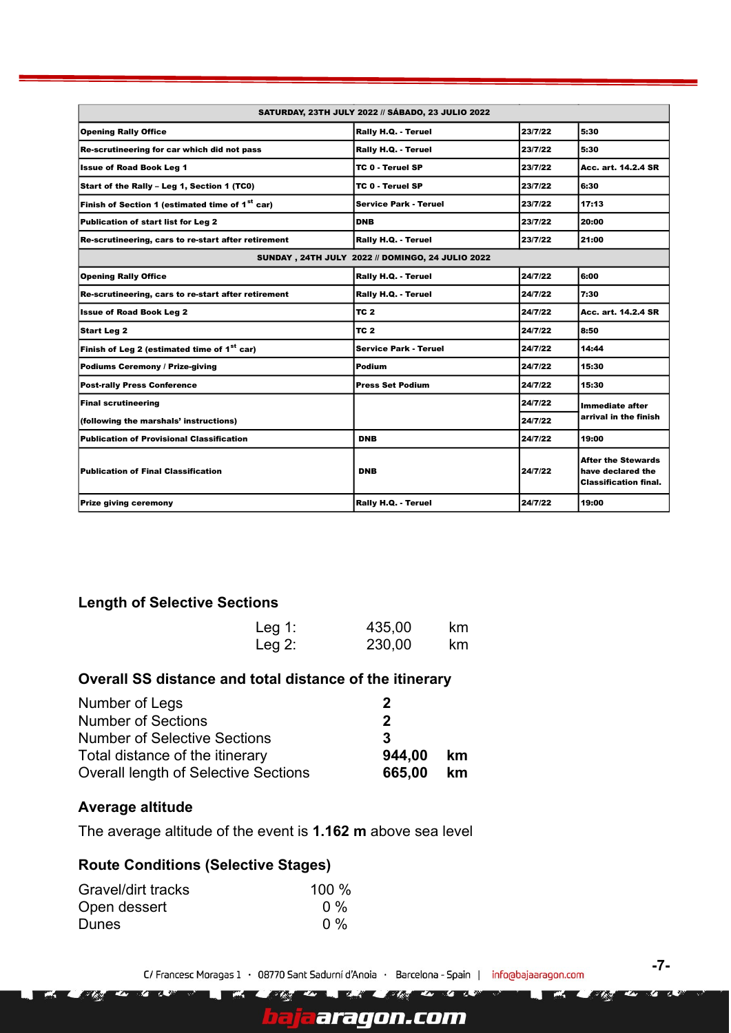| SATURDAY, 23TH JULY 2022 // SÁBADO, 23 JULIO 2022           |                                                  |         |                                                                                |
|-------------------------------------------------------------|--------------------------------------------------|---------|--------------------------------------------------------------------------------|
| <b>Opening Rally Office</b>                                 | Rally H.Q. - Teruel                              | 23/7/22 | 5:30                                                                           |
| Re-scrutineering for car which did not pass                 | Rally H.Q. - Teruel                              | 23/7/22 | 5:30                                                                           |
| <b>Issue of Road Book Leg 1</b>                             | TC 0 - Teruel SP                                 | 23/7/22 | Acc. art. 14.2.4 SR                                                            |
| Start of the Rally - Leg 1, Section 1 (TC0)                 | TC 0 - Teruel SP                                 | 23/7/22 | 6:30                                                                           |
| Finish of Section 1 (estimated time of 1 <sup>st</sup> car) | Service Park - Teruel                            | 23/7/22 | 17:13                                                                          |
| <b>Publication of start list for Leg 2</b>                  | <b>DNB</b>                                       | 23/7/22 | 20:00                                                                          |
| Re-scrutineering, cars to re-start after retirement         | Rally H.Q. - Teruel                              | 23/7/22 | 21:00                                                                          |
|                                                             | SUNDAY, 24TH JULY 2022 // DOMINGO, 24 JULIO 2022 |         |                                                                                |
| <b>Opening Rally Office</b>                                 | Rally H.Q. - Teruel                              | 24/7/22 | 6:00                                                                           |
| Re-scrutineering, cars to re-start after retirement         | Rally H.Q. - Teruel                              | 24/7/22 | 7:30                                                                           |
| <b>Issue of Road Book Leg 2</b>                             | TC 2                                             | 24/7/22 | Acc. art. 14.2.4 SR                                                            |
| Start Leg 2                                                 | TC <sub>2</sub>                                  | 24/7/22 | 8:50                                                                           |
| Finish of Leg 2 (estimated time of 1 <sup>st</sup> car)     | <b>Service Park - Teruel</b>                     | 24/7/22 | 14:44                                                                          |
| Podiums Ceremony / Prize-giving                             | Podium                                           | 24/7/22 | 15:30                                                                          |
| <b>Post-rally Press Conference</b>                          | <b>Press Set Podium</b>                          | 24/7/22 | 15:30                                                                          |
| <b>Final scrutineering</b>                                  |                                                  | 24/7/22 | Immediate after                                                                |
| (following the marshals' instructions)                      |                                                  | 24/7/22 | arrival in the finish                                                          |
| <b>Publication of Provisional Classification</b>            | <b>DNB</b>                                       | 24/7/22 | 19:00                                                                          |
| <b>Publication of Final Classification</b>                  | <b>DNB</b>                                       | 24/7/22 | <b>After the Stewards</b><br>have declared the<br><b>Classification final.</b> |
| <b>Prize giving ceremony</b>                                | Rally H.Q. - Teruel                              | 24/7/22 | 19:00                                                                          |

#### <span id="page-6-0"></span>**Length of Selective Sections**

| Leg 1:    | 435,00 | km. |
|-----------|--------|-----|
| Leg $2$ : | 230,00 | km  |

## <span id="page-6-1"></span>**Overall SS distance and total distance of the itinerary**

| Number of Legs                              | 2         |    |
|---------------------------------------------|-----------|----|
| <b>Number of Sections</b>                   | 2         |    |
| <b>Number of Selective Sections</b>         | 3         |    |
| Total distance of the itinerary             | 944,00 km |    |
| <b>Overall length of Selective Sections</b> | 665,00    | km |
|                                             |           |    |

## <span id="page-6-2"></span>**Average altitude**

The average altitude of the event is **1.162 m** above sea level

T.

ī

r Av

#### <span id="page-6-3"></span>**Route Conditions (Selective Stages)**

| Gravel/dirt tracks | 100 % |
|--------------------|-------|
| Open dessert       | $0\%$ |
| <b>Dunes</b>       | $0\%$ |

 $\mathbf{z}$ **COLLEGE** 

aragon.com

**EXT** 

**ZL 22** 

**-7-**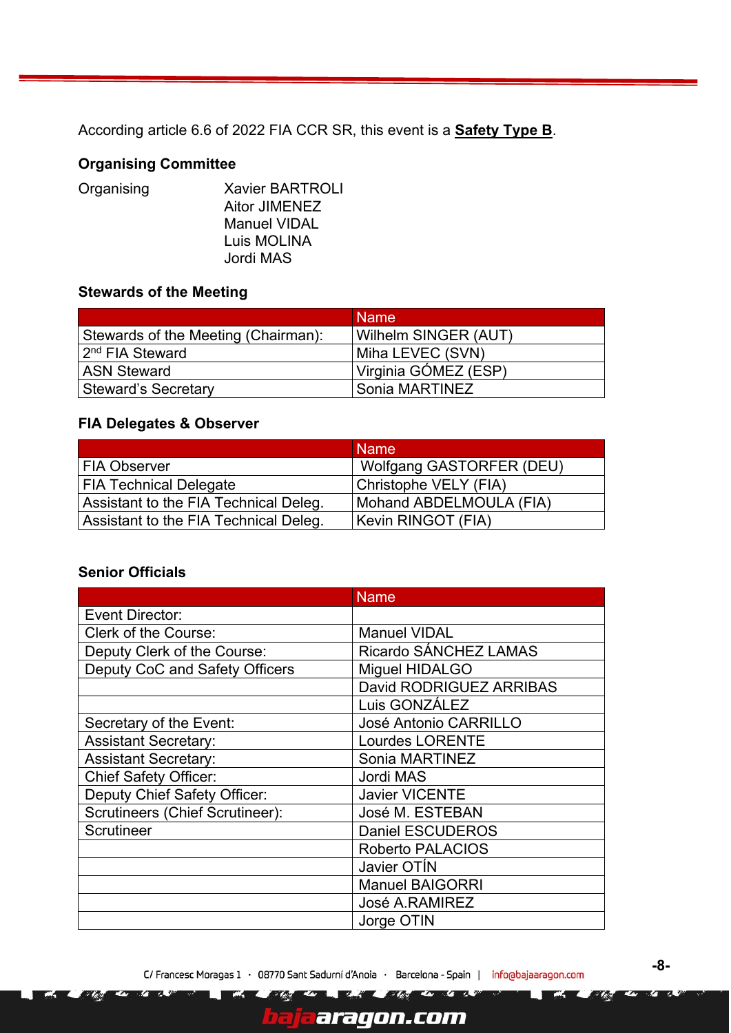According article 6.6 of 2022 FIA CCR SR, this event is a **Safety Type B**.

## <span id="page-7-0"></span>**Organising Committee**

| Organising | <b>Xavier BARTROLI</b> |
|------------|------------------------|
|            | <b>Aitor JIMENEZ</b>   |
|            | <b>Manuel VIDAL</b>    |
|            | Luis MOLINA            |
|            | Jordi MAS              |
|            |                        |

## <span id="page-7-1"></span>**Stewards of the Meeting**

|                                     | <b>Name</b>           |
|-------------------------------------|-----------------------|
| Stewards of the Meeting (Chairman): | Wilhelm SINGER (AUT)  |
| 2 <sup>nd</sup> FIA Steward         | Miha LEVEC (SVN)      |
| <b>ASN Steward</b>                  | Virginia GÓMEZ (ESP)  |
| <b>Steward's Secretary</b>          | <b>Sonia MARTINEZ</b> |

## <span id="page-7-2"></span>**FIA Delegates & Observer**

|                                       | <b>Name</b>                     |
|---------------------------------------|---------------------------------|
| <b>FIA Observer</b>                   | <b>Wolfgang GASTORFER (DEU)</b> |
| <b>FIA Technical Delegate</b>         | Christophe VELY (FIA)           |
| Assistant to the FIA Technical Deleg. | Mohand ABDELMOULA (FIA)         |
| Assistant to the FIA Technical Deleg. | Kevin RINGOT (FIA)              |

#### <span id="page-7-3"></span>**Senior Officials**

|                                 | <b>Name</b>             |
|---------------------------------|-------------------------|
| Event Director:                 |                         |
| <b>Clerk of the Course:</b>     | <b>Manuel VIDAL</b>     |
| Deputy Clerk of the Course:     | Ricardo SÁNCHEZ LAMAS   |
| Deputy CoC and Safety Officers  | Miguel HIDALGO          |
|                                 | David RODRIGUEZ ARRIBAS |
|                                 | Luis GONZÁLEZ           |
| Secretary of the Event:         | José Antonio CARRILLO   |
| <b>Assistant Secretary:</b>     | <b>Lourdes LORENTE</b>  |
| <b>Assistant Secretary:</b>     | Sonia MARTINEZ          |
| <b>Chief Safety Officer:</b>    | Jordi MAS               |
| Deputy Chief Safety Officer:    | <b>Javier VICENTE</b>   |
| Scrutineers (Chief Scrutineer): | José M. ESTEBAN         |
| Scrutineer                      | <b>Daniel ESCUDEROS</b> |
|                                 | Roberto PALACIOS        |
|                                 | Javier OTIN             |
|                                 | <b>Manuel BAIGORRI</b>  |
|                                 | <b>José A.RAMIREZ</b>   |
|                                 | Jorge OTIN              |

 $\mathcal{F}$  /  $\mathcal{F}$ 

aragon.com

**EXT** 

**12.** 24

**DS** 

ī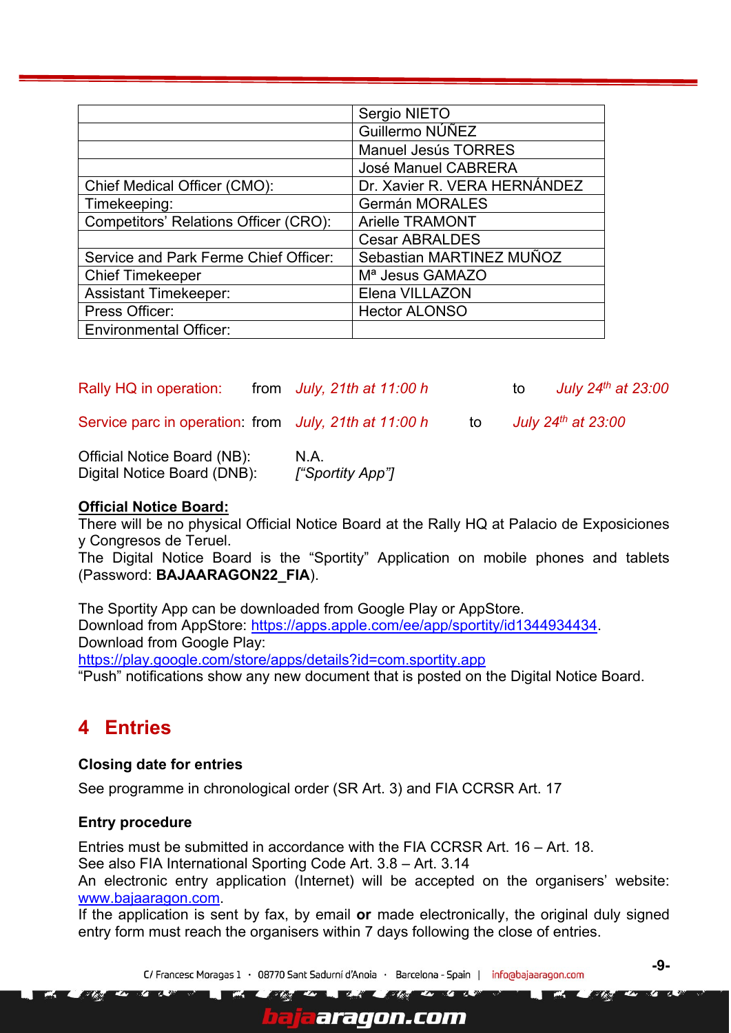|                                       | Sergio NIETO                 |
|---------------------------------------|------------------------------|
|                                       | Guillermo NÚÑEZ              |
|                                       | <b>Manuel Jesús TORRES</b>   |
|                                       | <b>José Manuel CABRERA</b>   |
| Chief Medical Officer (CMO):          | Dr. Xavier R. VERA HERNÁNDEZ |
| Timekeeping:                          | <b>Germán MORALES</b>        |
| Competitors' Relations Officer (CRO): | <b>Arielle TRAMONT</b>       |
|                                       | <b>Cesar ABRALDES</b>        |
| Service and Park Ferme Chief Officer: | Sebastian MARTINEZ MUÑOZ     |
| <b>Chief Timekeeper</b>               | M <sup>a</sup> Jesus GAMAZO  |
| <b>Assistant Timekeeper:</b>          | Elena VILLAZON               |
| Press Officer:                        | <b>Hector ALONSO</b>         |
| <b>Environmental Officer:</b>         |                              |

Rally HQ in operation: from *July, 21th at 11:00 h* to *July 24th at 23:00*  Service parc in operation: from *July, 21th at 11:00 h* to *July 24th at 23:00* 

| Official Notice Board (NB): | N.A.             |
|-----------------------------|------------------|
| Digital Notice Board (DNB): | ["Sportity App"] |

#### **Official Notice Board:**

There will be no physical Official Notice Board at the Rally HQ at Palacio de Exposiciones y Congresos de Teruel.

The Digital Notice Board is the "Sportity" Application on mobile phones and tablets (Password: **BAJAARAGON22\_FIA**).

The Sportity App can be downloaded from Google Play or AppStore. Download from AppStore: [https://apps.apple.com/ee/app/sportity/id1344934434.](https://apps.apple.com/ee/app/sportity/id1344934434) Download from Google Play: <https://play.google.com/store/apps/details?id=com.sportity.app>

"Push" notifications show any new document that is posted on the Digital Notice Board.

# <span id="page-8-0"></span>**4 Entries**

#### <span id="page-8-1"></span>**Closing date for entries**

See programme in chronological order (SR Art. 3) and FIA CCRSR Art. 17

#### <span id="page-8-2"></span>**Entry procedure**

Entries must be submitted in accordance with the FIA CCRSR Art. 16 – Art. 18. See also FIA International Sporting Code Art. 3.8 – Art. 3.14

An electronic entry application (Internet) will be accepted on the organisers' website: [www.bajaaragon.com.](http://www.bajaaragon.com/)

If the application is sent by fax, by email **or** made electronically, the original duly signed entry form must reach the organisers within 7 days following the close of entries.

araqon.com

C/ Francesc Moragas 1 · 08770 Sant Sadurní d'Anoia · Barcelona - Spain | inforabajaaragon.com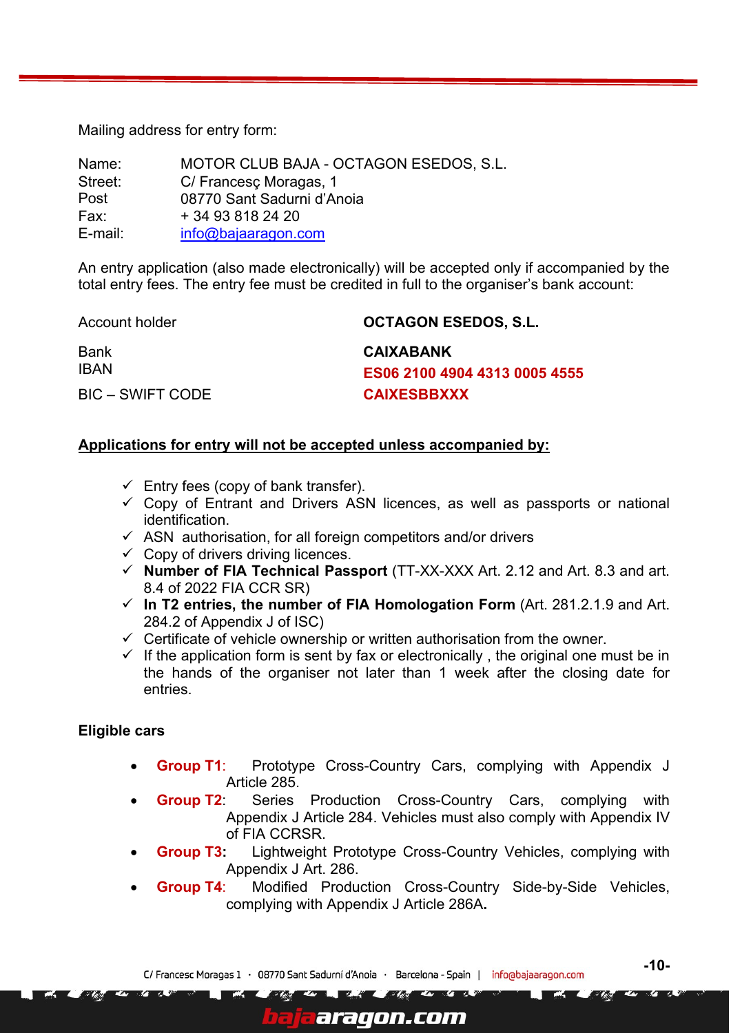Mailing address for entry form:

| Name:   | MOTOR CLUB BAJA - OCTAGON ESEDOS, S.L. |
|---------|----------------------------------------|
| Street: | C/ Francesc Moragas, 1                 |
| Post    | 08770 Sant Sadurni d'Anoia             |
| Fax:    | + 34 93 818 24 20                      |
| E-mail: | info@bajaaragon.com                    |

An entry application (also made electronically) will be accepted only if accompanied by the total entry fees. The entry fee must be credited in full to the organiser's bank account:

| Account holder   | <b>OCTAGON ESEDOS, S.L.</b>   |
|------------------|-------------------------------|
| Bank             | <b>CAIXABANK</b>              |
| IBAN             | ES06 2100 4904 4313 0005 4555 |
| BIC – SWIFT CODE | <b>CAIXESBBXXX</b>            |

#### **Applications for entry will not be accepted unless accompanied by:**

- $\checkmark$  Entry fees (copy of bank transfer).
- $\checkmark$  Copy of Entrant and Drivers ASN licences, as well as passports or national identification.
- $\checkmark$  ASN authorisation, for all foreign competitors and/or drivers
- $\checkmark$  Copy of drivers driving licences.
- ✓ **Number of FIA Technical Passport** (TT-XX-XXX Art. 2.12 and Art. 8.3 and art. 8.4 of 2022 FIA CCR SR)
- ✓ **In T2 entries, the number of FIA Homologation Form** (Art. 281.2.1.9 and Art. 284.2 of Appendix J of ISC)
- $\checkmark$  Certificate of vehicle ownership or written authorisation from the owner.
- $\checkmark$  If the application form is sent by fax or electronically, the original one must be in the hands of the organiser not later than 1 week after the closing date for entries.

#### **Eligible cars**

- **Group T1:** Prototype Cross-Country Cars, complying with Appendix J Article 285.
- **Group T2:** Series Production Cross-Country Cars, complying with Appendix J Article 284. Vehicles must also comply with Appendix IV of FIA CCRSR.
- **Group T3:** Lightweight Prototype Cross-Country Vehicles, complying with Appendix J Art. 286.
- **Group T4:** Modified Production Cross-Country Side-by-Side Vehicles, complying with Appendix J Article 286A**.**

araqon.com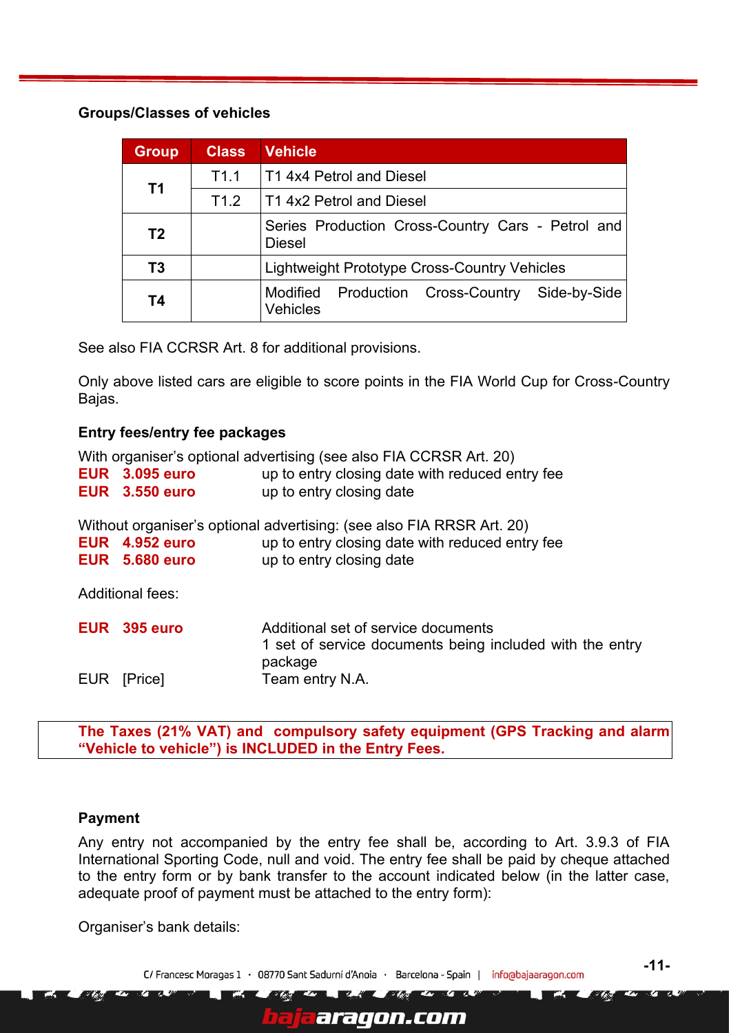#### **Groups/Classes of vehicles**

| <b>Group</b>   | <b>Class</b> | <b>Vehicle</b>                                                             |  |
|----------------|--------------|----------------------------------------------------------------------------|--|
|                | T1.1         | <b>T1 4x4 Petrol and Diesel</b>                                            |  |
| T <sub>1</sub> | T1.2         | <b>T1 4x2 Petrol and Diesel</b>                                            |  |
| T <sub>2</sub> |              | Series Production Cross-Country Cars - Petrol and<br><b>Diesel</b>         |  |
| T3             |              | Lightweight Prototype Cross-Country Vehicles                               |  |
| <b>T4</b>      |              | Cross-Country<br>Side-by-Side<br>Modified<br>Production<br><b>Vehicles</b> |  |

See also FIA CCRSR Art. 8 for additional provisions.

Only above listed cars are eligible to score points in the FIA World Cup for Cross-Country Bajas.

#### <span id="page-10-0"></span>**Entry fees/entry fee packages**

With organiser's optional advertising (see also FIA CCRSR Art. 20)

| <b>EUR</b> 3.095 euro | up to entry closing date with reduced entry fee |
|-----------------------|-------------------------------------------------|
| <b>EUR</b> 3.550 euro | up to entry closing date                        |

Without organiser's optional advertising: (see also FIA RRSR Art. 20)

|  | <b>EUR</b> 4.952 euro | up to entry closing date with reduced entry fee |  |
|--|-----------------------|-------------------------------------------------|--|
|--|-----------------------|-------------------------------------------------|--|

|  | <b>EUR</b> 5.680 euro | up to entry closing date |
|--|-----------------------|--------------------------|
|--|-----------------------|--------------------------|

Additional fees:

| EUR 395 euro | Additional set of service documents<br>1 set of service documents being included with the entry<br>package |
|--------------|------------------------------------------------------------------------------------------------------------|
| EUR [Price]  | Team entry N.A.                                                                                            |

**The Taxes (21% VAT) and compulsory safety equipment (GPS Tracking and alarm "Vehicle to vehicle") is INCLUDED in the Entry Fees.**

#### <span id="page-10-1"></span>**Payment**

Any entry not accompanied by the entry fee shall be, according to Art. 3.9.3 of FIA International Sporting Code, null and void. The entry fee shall be paid by cheque attached to the entry form or by bank transfer to the account indicated below (in the latter case, adequate proof of payment must be attached to the entry form):

Organiser's bank details:

C/ Francesc Moragas 1 · 08770 Sant Sadurní d'Anoia · Barcelona - Spain | info@bajaaragon.com

aragon.com

**-11-**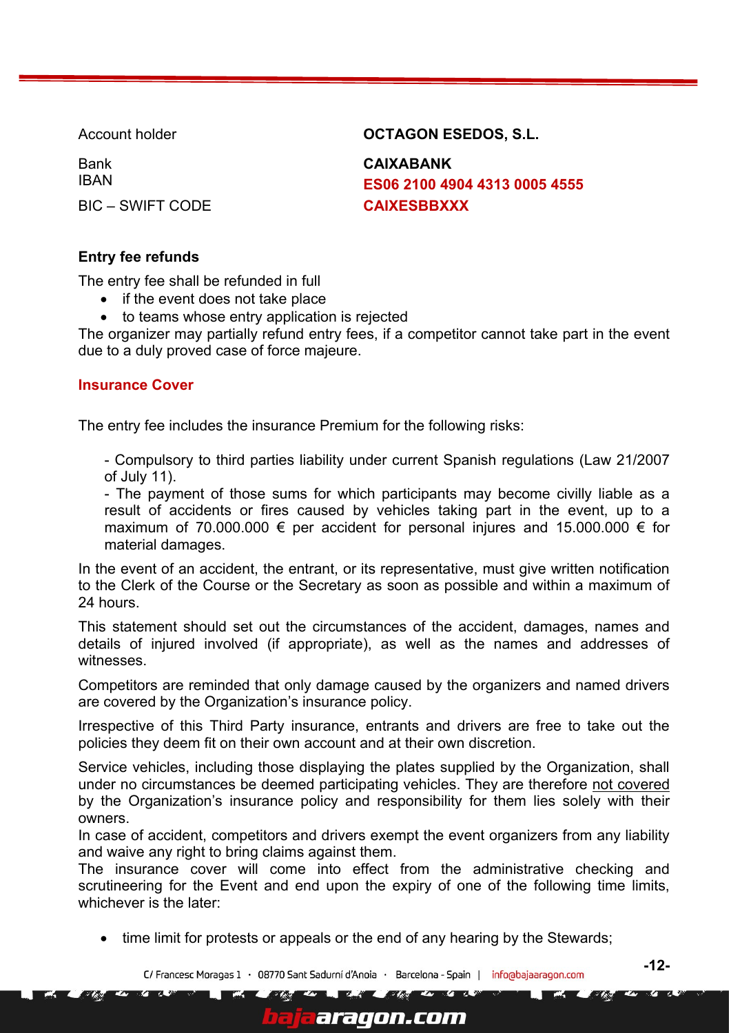Bank **CAIXABANK** 

Account holder **COLLAGON ESEDOS, S.L.** 

IBAN **ES06 2100 4904 4313 0005 4555** BIC – SWIFT CODE **CAIXESBBXXX** 

## <span id="page-11-0"></span>**Entry fee refunds**

The entry fee shall be refunded in full

- if the event does not take place
- to teams whose entry application is rejected

The organizer may partially refund entry fees, if a competitor cannot take part in the event due to a duly proved case of force majeure.

#### <span id="page-11-1"></span>**Insurance Cover**

The entry fee includes the insurance Premium for the following risks:

- Compulsory to third parties liability under current Spanish regulations (Law 21/2007 of July 11).

- The payment of those sums for which participants may become civilly liable as a result of accidents or fires caused by vehicles taking part in the event, up to a maximum of 70.000.000  $\epsilon$  per accident for personal injures and 15.000.000  $\epsilon$  for material damages.

In the event of an accident, the entrant, or its representative, must give written notification to the Clerk of the Course or the Secretary as soon as possible and within a maximum of 24 hours.

This statement should set out the circumstances of the accident, damages, names and details of injured involved (if appropriate), as well as the names and addresses of witnesses.

Competitors are reminded that only damage caused by the organizers and named drivers are covered by the Organization's insurance policy.

Irrespective of this Third Party insurance, entrants and drivers are free to take out the policies they deem fit on their own account and at their own discretion.

Service vehicles, including those displaying the plates supplied by the Organization, shall under no circumstances be deemed participating vehicles. They are therefore not covered by the Organization's insurance policy and responsibility for them lies solely with their owners.

In case of accident, competitors and drivers exempt the event organizers from any liability and waive any right to bring claims against them.

The insurance cover will come into effect from the administrative checking and scrutineering for the Event and end upon the expiry of one of the following time limits, whichever is the later:

• time limit for protests or appeals or the end of any hearing by the Stewards;

araqon.com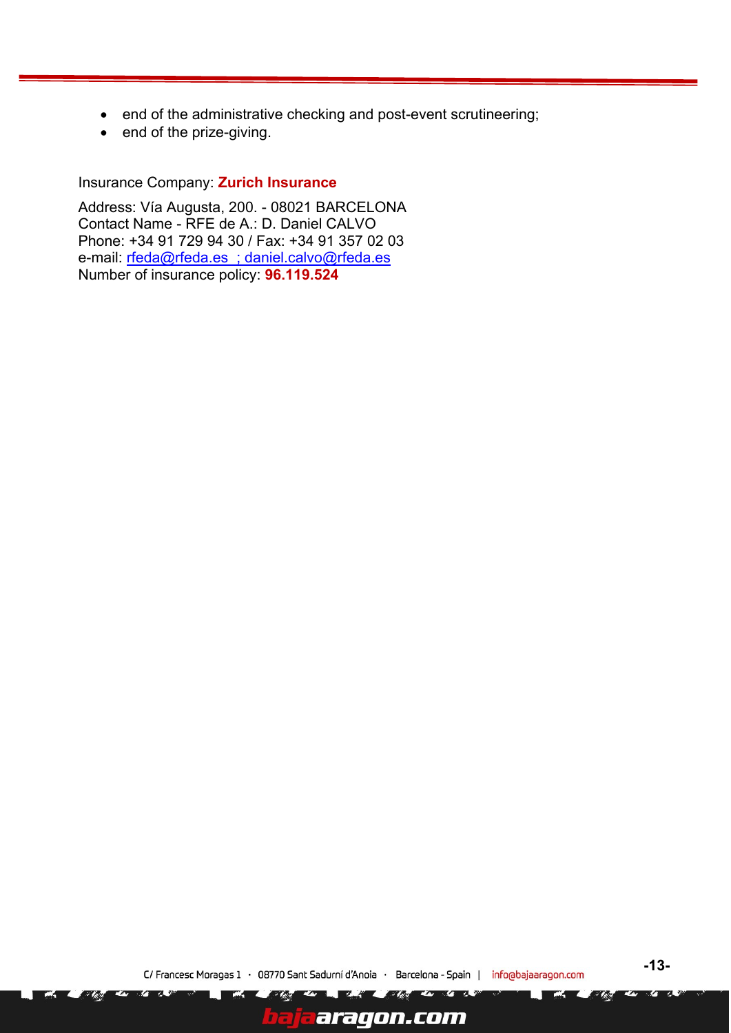- end of the administrative checking and post-event scrutineering;
- end of the prize-giving.

Insurance Company: **Zurich Insurance**

Address: Vía Augusta, 200. - 08021 BARCELONA Contact Name - RFE de A.: D. Daniel CALVO Phone: +34 91 729 94 30 / Fax: +34 91 357 02 03 e-mail: [rfeda@rfeda.es](mailto:rfeda@rfeda.es) ; [daniel.calvo@rfeda.es](mailto:Daniel.calvo@rfeda.es) Number of insurance policy: **96.119.524**

o Ze

aragon.com

**TA** 

- 13

r Av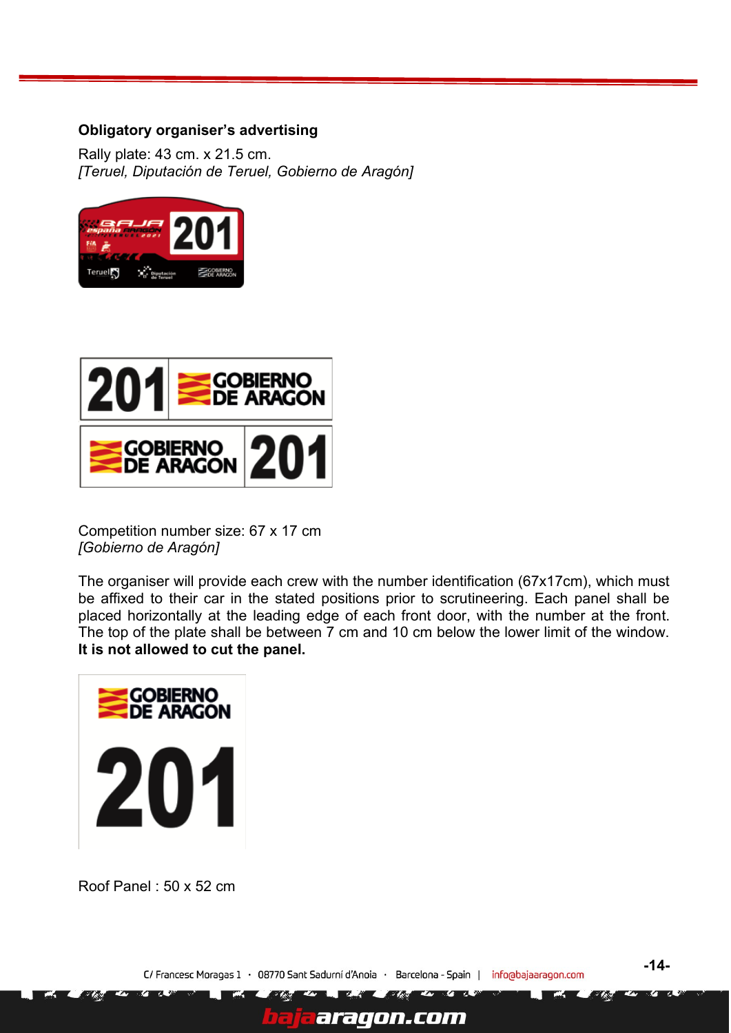#### <span id="page-13-0"></span>**Obligatory organiser's advertising**

Rally plate: 43 cm. x 21.5 cm. *[Teruel, Diputación de Teruel, Gobierno de Aragón]*





Competition number size: 67 x 17 cm *[Gobierno de Aragón]*

The organiser will provide each crew with the number identification (67x17cm), which must be affixed to their car in the stated positions prior to scrutineering. Each panel shall be placed horizontally at the leading edge of each front door, with the number at the front. The top of the plate shall be between 7 cm and 10 cm below the lower limit of the window. **It is not allowed to cut the panel.**



Roof Panel : 50 x 52 cm

araqon.com

**-14-**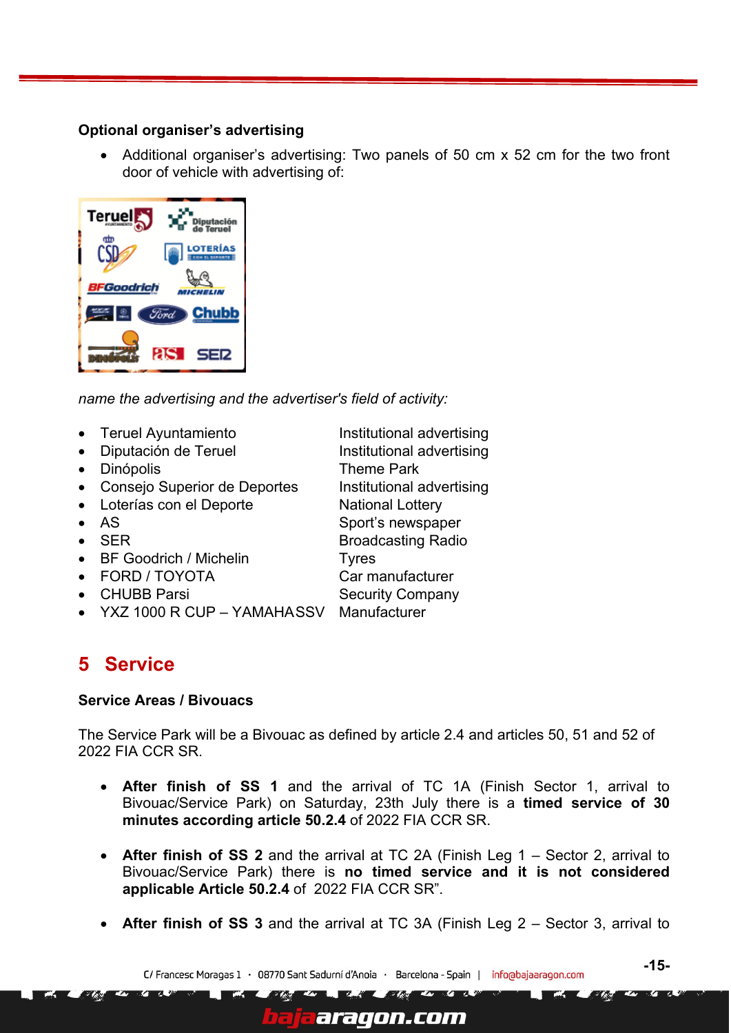#### <span id="page-14-0"></span>**Optional organiser's advertising**

• Additional organiser's advertising: Two panels of 50 cm x 52 cm for the two front door of vehicle with advertising of:

| <b>Terue</b><br>a<br>Diputación<br>de Teruel |
|----------------------------------------------|
| œ<br><b>LOTERÍAS</b>                         |
| BFGoodrich<br>LIN                            |
| <b>Chubb</b><br>Ford                         |
| as I<br>SER                                  |

*name the advertising and the advertiser's field of activity:*

- Teruel Ayuntamiento Institutional advertising
- Diputación de Teruel **Institutional advertising**
- Dinópolis Theme Park
- Consejo Superior de Deportes Institutional advertising
- Loterías con el Deporte National Lottery
- AS Sport's newspaper
- SER Broadcasting Radio
- BF Goodrich / Michelin Tyres
- FORD / TOYOTA Car manufacturer
- CHUBB Parsi Security Company
- YXZ 1000 R CUP YAMAHASSV Manufacturer

# <span id="page-14-1"></span>**5 Service**

#### **Service Areas / Bivouacs**

The Service Park will be a Bivouac as defined by article 2.4 and articles 50, 51 and 52 of 2022 FIA CCR SR.

- **After finish of SS 1** and the arrival of TC 1A (Finish Sector 1, arrival to Bivouac/Service Park) on Saturday, 23th July there is a **timed service of 30 minutes according article 50.2.4** of 2022 FIA CCR SR.
- **After finish of SS 2** and the arrival at TC 2A (Finish Leg 1 Sector 2, arrival to Bivouac/Service Park) there is **no timed service and it is not considered applicable Article 50.2.4** of 2022 FIA CCR SR".
- **After finish of SS 3** and the arrival at TC 3A (Finish Leg 2 Sector 3, arrival to

araqon.com

C/ Francesc Moragas 1 · 08770 Sant Sadurní d'Anoia · Barcelona - Spain | inforabajaaragon.com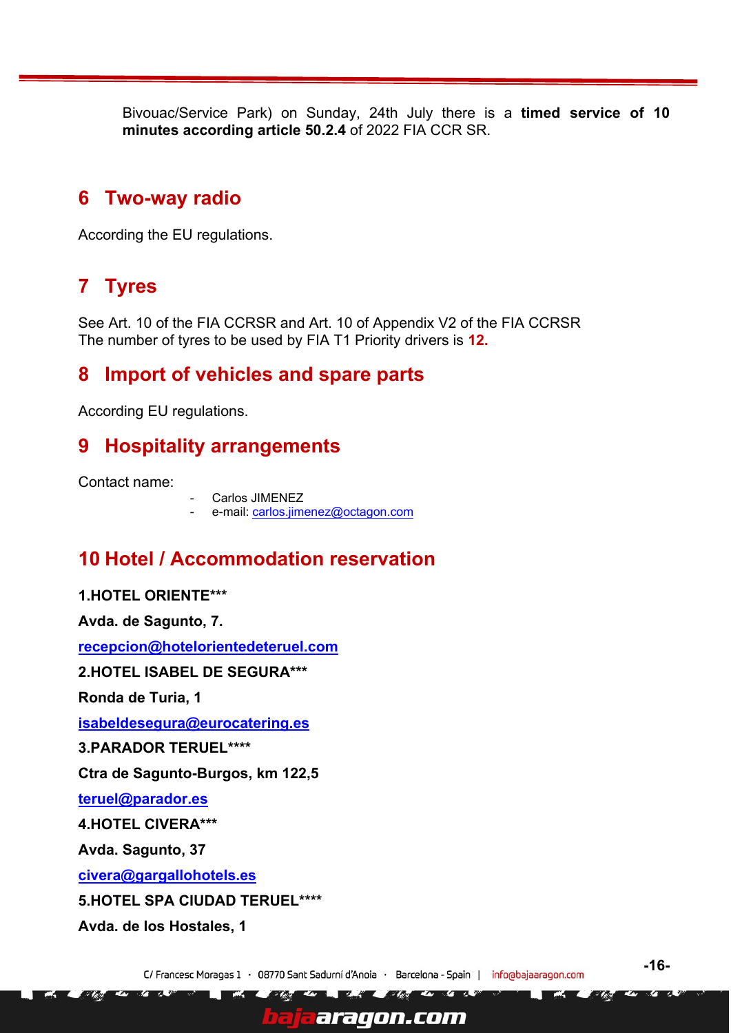Bivouac/Service Park) on Sunday, 24th July there is a **timed service of 10 minutes according article 50.2.4** of 2022 FIA CCR SR.

## <span id="page-15-0"></span>**6 Two-way radio**

According the EU regulations.

# <span id="page-15-1"></span>**7 Tyres**

See Art. 10 of the FIA CCRSR and Art. 10 of Appendix V2 of the FIA CCRSR The number of tyres to be used by FIA T1 Priority drivers is **12.**

## <span id="page-15-2"></span>**8 Import of vehicles and spare parts**

<span id="page-15-3"></span>According EU regulations.

# **9 Hospitality arrangements**

Contact name:

Carlos JIMENEZ

e-mail: [carlos.jimenez@octagon.com](mailto:carlos.jimenez@octagon.com)

# <span id="page-15-4"></span>**10 Hotel / Accommodation reservation**

**1.HOTEL ORIENTE\*\*\* Avda. de Sagunto, 7. [recepcion@hotelorientedeteruel.com](mailto:recepcion@hotelorientedeteruel.com) 2.HOTEL ISABEL DE SEGURA\*\*\* Ronda de Turia, 1 [isabeldesegura@eurocatering.es](mailto:isabeldesegura@eurocatering.es) 3.PARADOR TERUEL\*\*\*\* Ctra de Sagunto-Burgos, km 122,5 [teruel@parador.es](mailto:teruel@parador.es) 4.HOTEL CIVERA\*\*\* Avda. Sagunto, 37 [civera@gargallohotels.es](mailto:civera@gargallohotels.es) 5.HOTEL SPA CIUDAD TERUEL\*\*\*\* Avda. de los Hostales, 1**

C/ Francesc Moragas 1 · 08770 Sant Sadurní d'Anoia · Barcelona - Spain | inforabajaaragon.com

araqon.com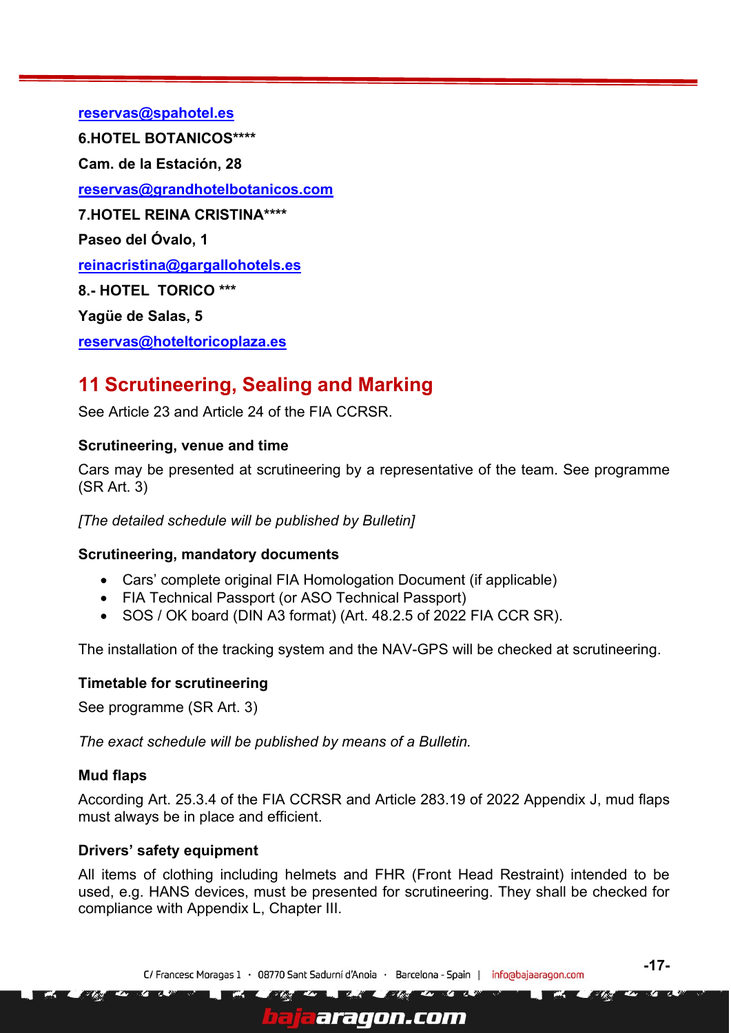**[reservas@spahotel.es](mailto:reservas@spahotel.es)**

**6.HOTEL BOTANICOS\*\*\*\*** 

**Cam. de la Estación, 28**

**[reservas@grandhotelbotanicos.com](mailto:reservas@grandhotelbotanicos.com)**

**7.HOTEL REINA CRISTINA\*\*\*\*** 

**Paseo del Óvalo, 1**

**[reinacristina@gargallohotels.es](mailto:reinacristina@gargallohotels.es)**

**8.- HOTEL TORICO \*\*\***

**Yagüe de Salas, 5**

**[reservas@hoteltoricoplaza.es](mailto:reservas@hoteltoricoplaza.es)**

# <span id="page-16-0"></span>**11 Scrutineering, Sealing and Marking**

See Article 23 and Article 24 of the FIA CCRSR.

#### <span id="page-16-1"></span>**Scrutineering, venue and time**

Cars may be presented at scrutineering by a representative of the team. See programme (SR Art. 3)

*[The detailed schedule will be published by Bulletin]*

#### **Scrutineering, mandatory documents**

- Cars' complete original FIA Homologation Document (if applicable)
- FIA Technical Passport (or ASO Technical Passport)
- SOS / OK board (DIN A3 format) (Art. 48.2.5 of 2022 FIA CCR SR).

The installation of the tracking system and the NAV-GPS will be checked at scrutineering.

#### **Timetable for scrutineering**

See programme (SR Art. 3)

*The exact schedule will be published by means of a Bulletin.*

#### <span id="page-16-2"></span>**Mud flaps**

According Art. 25.3.4 of the FIA CCRSR and Article 283.19 of 2022 Appendix J, mud flaps must always be in place and efficient.

#### <span id="page-16-3"></span>**Drivers' safety equipment**

All items of clothing including helmets and FHR (Front Head Restraint) intended to be used, e.g. HANS devices, must be presented for scrutineering. They shall be checked for compliance with Appendix L, Chapter III.

aragon.com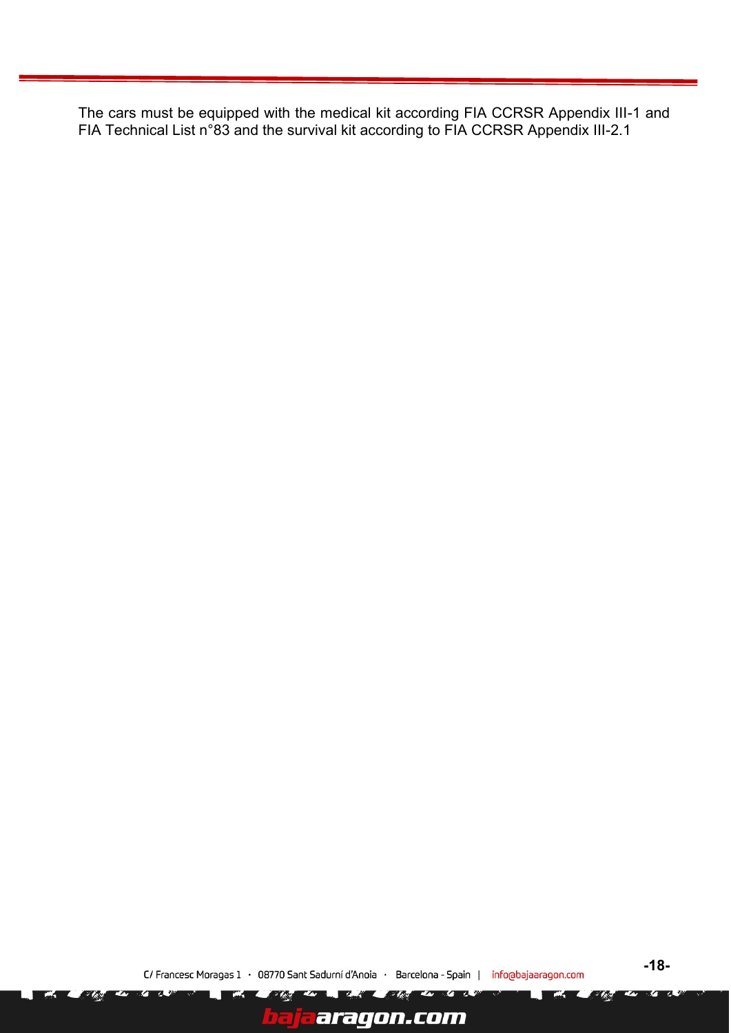The cars must be equipped with the medical kit according FIA CCRSR Appendix III-1 and FIA Technical List n°83 and the survival kit according to FIA CCRSR Appendix III-2.1

57元

aragon.com

**TA** 

**74. S** 

 $\overline{\mathscr{C}}$ 

ī

**TA**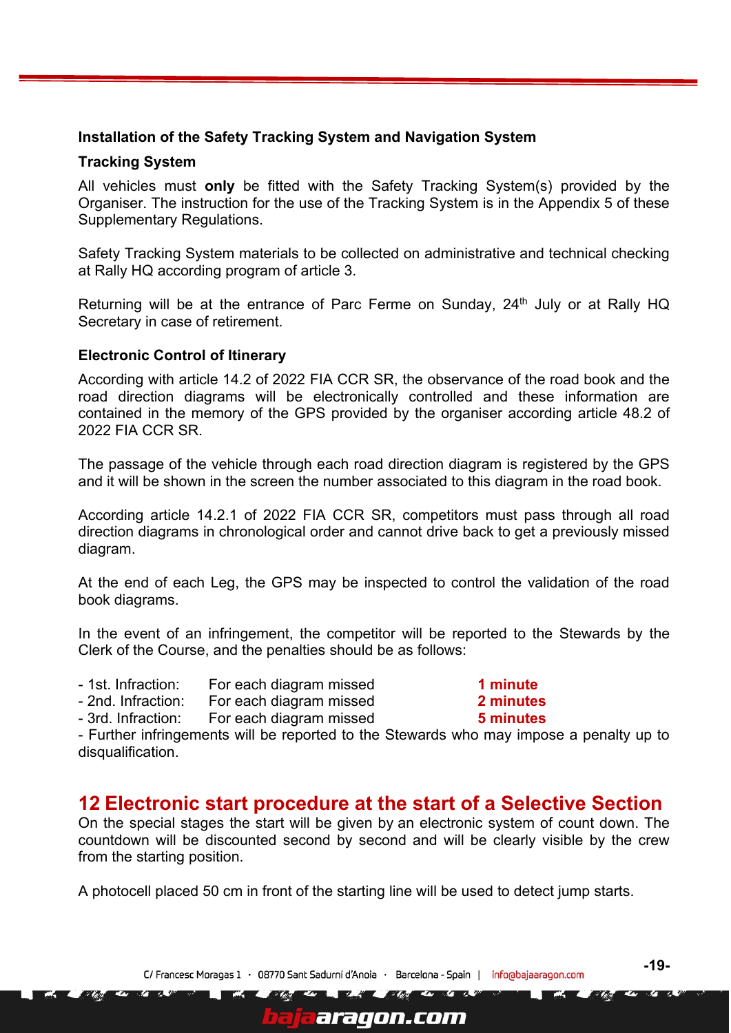#### <span id="page-18-0"></span>**Installation of the Safety Tracking System and Navigation System**

#### **Tracking System**

All vehicles must **only** be fitted with the Safety Tracking System(s) provided by the Organiser. The instruction for the use of the Tracking System is in the Appendix 5 of these Supplementary Regulations.

Safety Tracking System materials to be collected on administrative and technical checking at Rally HQ according program of article 3.

Returning will be at the entrance of Parc Ferme on Sunday, 24<sup>th</sup> July or at Rally HQ Secretary in case of retirement.

#### <span id="page-18-1"></span>**Electronic Control of Itinerary**

According with article 14.2 of 2022 FIA CCR SR, the observance of the road book and the road direction diagrams will be electronically controlled and these information are contained in the memory of the GPS provided by the organiser according article 48.2 of 2022 FIA CCR SR.

The passage of the vehicle through each road direction diagram is registered by the GPS and it will be shown in the screen the number associated to this diagram in the road book.

According article 14.2.1 of 2022 FIA CCR SR, competitors must pass through all road direction diagrams in chronological order and cannot drive back to get a previously missed diagram.

At the end of each Leg, the GPS may be inspected to control the validation of the road book diagrams.

In the event of an infringement, the competitor will be reported to the Stewards by the Clerk of the Course, and the penalties should be as follows:

- 1st. Infraction: For each diagram missed **1 minute**
- 2nd. Infraction: For each diagram missed **2 minutes**



- Further infringements will be reported to the Stewards who may impose a penalty up to disqualification.

## <span id="page-18-2"></span>**12 Electronic start procedure at the start of a Selective Section**

On the special stages the start will be given by an electronic system of count down. The countdown will be discounted second by second and will be clearly visible by the crew from the starting position.

A photocell placed 50 cm in front of the starting line will be used to detect jump starts.

C/ Francesc Moragas 1 · 08770 Sant Sadurní d'Anoia · Barcelona - Spain | inforabajaaragon.com

aragon.com

 $\sqrt{2}$ 

**-19-**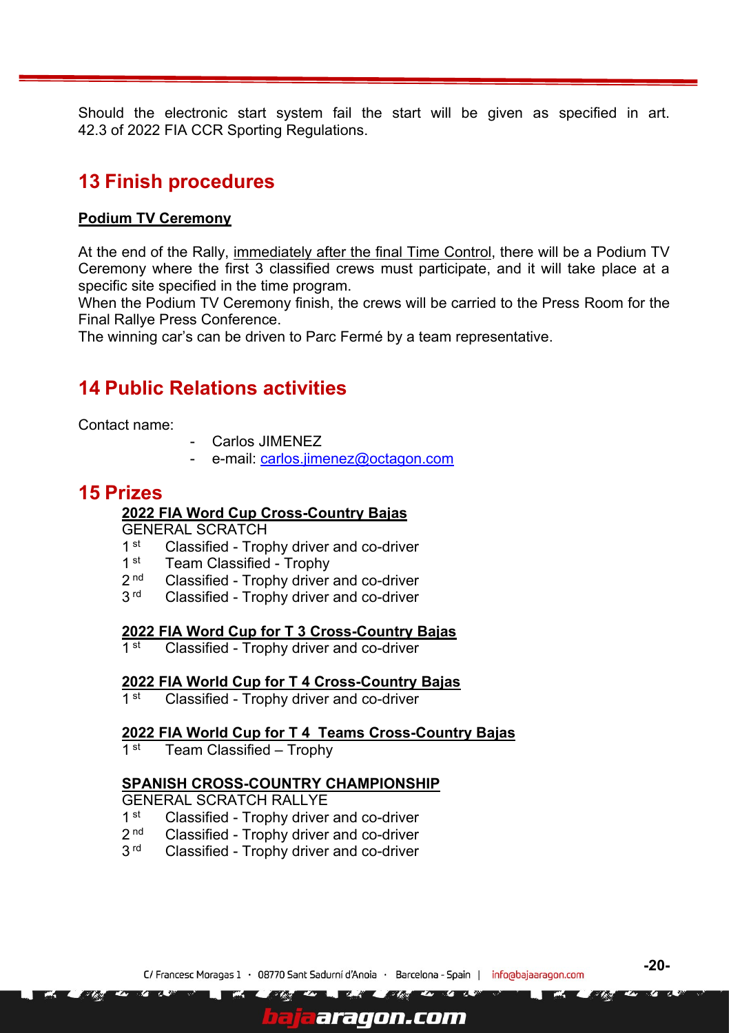Should the electronic start system fail the start will be given as specified in art. 42.3 of 2022 FIA CCR Sporting Regulations.

# <span id="page-19-0"></span>**13 Finish procedures**

#### **Podium TV Ceremony**

At the end of the Rally, immediately after the final Time Control, there will be a Podium TV Ceremony where the first 3 classified crews must participate, and it will take place at a specific site specified in the time program.

When the Podium TV Ceremony finish, the crews will be carried to the Press Room for the Final Rallye Press Conference.

The winning car's can be driven to Parc Fermé by a team representative.

# <span id="page-19-1"></span>**14 Public Relations activities**

Contact name:

- Carlos JIMENEZ
- e-mail: [carlos.jimenez@octagon.com](mailto:carlos.jimenez@octagon.com)

## <span id="page-19-2"></span>**15 Prizes**

#### **2022 FIA Word Cup Cross-Country Bajas**

GENERAL SCRATCH

- $1<sup>st</sup>$ Classified - Trophy driver and co-driver
- $1$  st Team Classified - Trophy
- $2<sub>nd</sub>$ Classified - Trophy driver and co-driver
- $3<sup>rd</sup>$ Classified - Trophy driver and co-driver

#### **2022 FIA Word Cup for T 3 Cross-Country Bajas**

1  $st$ Classified - Trophy driver and co-driver

#### **2022 FIA World Cup for T 4 Cross-Country Bajas**

 $1$  st Classified - Trophy driver and co-driver

#### **2022 FIA World Cup for T 4 Teams Cross-Country Bajas**

 $1$  st Team Classified – Trophy

#### **SPANISH CROSS-COUNTRY CHAMPIONSHIP**

GENERAL SCRATCH RALLYE

- $1$  st Classified - Trophy driver and co-driver
- $2<sub>nd</sub>$ Classified - Trophy driver and co-driver
- $3<sup>rd</sup>$ Classified - Trophy driver and co-driver

araqon.com